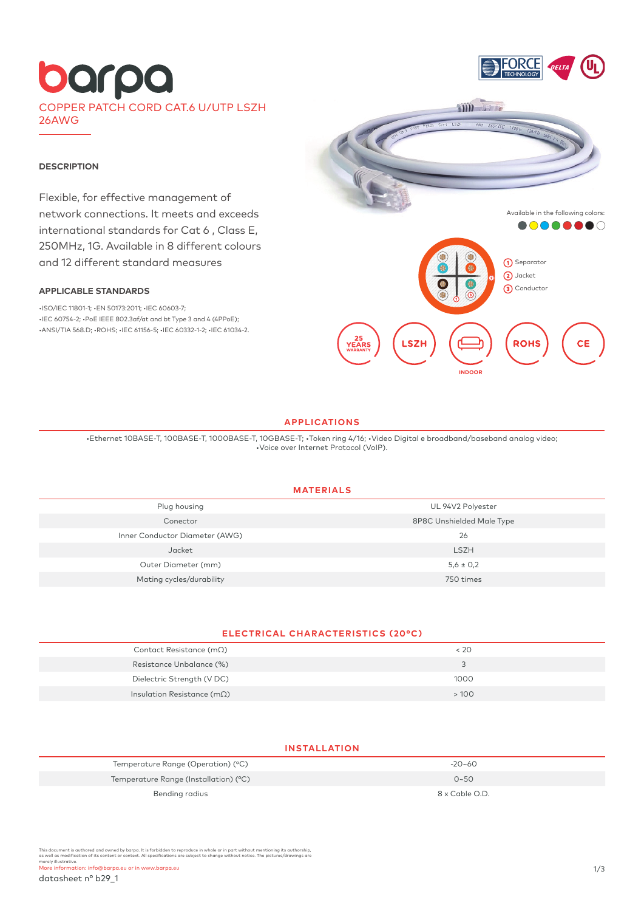# barpa COPPER PATCH CORD CAT.6 U/UTP LSZH 26AWG



#### **DESCRIPTION**

Flexible, for effective management of network connections. It meets and exceeds international standards for Cat 6 , Class E, 250MHz, 1G. Available in 8 different colours and 12 different standard measures

### **APPLICABLE STANDARDS**

•ISO/IEC 11801-1; •EN 50173:2011; •IEC 60603-7; •IEC 60754-2; •PoE IEEE 802.3af/at and bt Type 3 and 4 (4PPoE); •ANSI/TIA 568.D; •ROHS; •IEC 61156-5; •IEC 60332-1-2; •IEC 61034-2.



#### **APPLICATIONS**

•Ethernet 10BASE-T, 100BASE-T, 1000BASE-T, 10GBASE-T; •Token ring 4/16; •Video Digital e broadband/baseband analog video; •Voice over Internet Protocol (VoIP).

### **MATERIALS**

| UL 94V2 Polyester         |
|---------------------------|
| 8P8C Unshielded Male Type |
| 26                        |
| <b>LSZH</b>               |
| $5,6 \pm 0,2$             |
| 750 times                 |
|                           |

## **ELECTRICAL CHARACTERISTICS (20°C)**

| Contact Resistance ( $m\Omega$ )    | $<$ 20 |
|-------------------------------------|--------|
| Resistance Unbalance (%)            |        |
| Dielectric Strength (V DC)          | 1000   |
| Insulation Resistance (m $\Omega$ ) | >100   |

### **INSTALLATION**

| Temperature Range (Operation) (°C)    | $-20-60$       |
|---------------------------------------|----------------|
| Temperature Range (Installation) (°C) | $0 - 50$       |
| Bending radius                        | 8 x Cable O.D. |

This document is authored and owned by barpa. It is forbidden to reproduce in whole or in part without mentioning its authorship,<br>as well as modification of its content or context. All specifications are subject to change merely illustrative.<br>More information: info@barpa.eu or in www.barpa.eu 1/3

datasheet n° b29\_1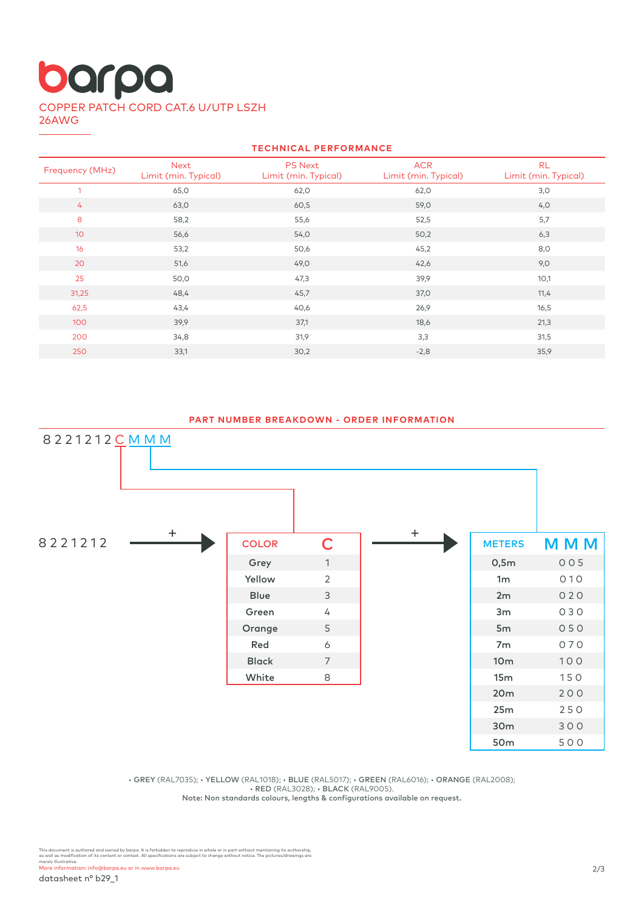# barpa COPPER PATCH CORD CAT.6 U/UTP LSZH 26AWG

| <b>TECHNICAL PERFORMANCE</b> |                              |                                        |                                    |                                   |  |  |  |
|------------------------------|------------------------------|----------------------------------------|------------------------------------|-----------------------------------|--|--|--|
| Frequency (MHz)              | Next<br>Limit (min. Typical) | <b>PS Next</b><br>Limit (min. Typical) | <b>ACR</b><br>Limit (min. Typical) | <b>RL</b><br>Limit (min. Typical) |  |  |  |
| 1                            | 65,0                         | 62,0                                   | 62,0                               | 3,0                               |  |  |  |
| 4                            | 63,0                         | 60,5                                   | 59,0                               | 4,0                               |  |  |  |
| 8                            | 58,2                         | 55,6                                   | 52,5                               | 5,7                               |  |  |  |
| 10 <sup>°</sup>              | 56,6                         | 54,0                                   | 50,2                               | 6,3                               |  |  |  |
| 16                           | 53,2                         | 50,6                                   | 45,2                               | 8,0                               |  |  |  |
| 20                           | 51,6                         | 49,0                                   | 42,6                               | 9,0                               |  |  |  |
| 25                           | 50,0                         | 47,3                                   | 39,9                               | 10,1                              |  |  |  |
| 31,25                        | 48,4                         | 45,7                                   | 37,0                               | 11,4                              |  |  |  |
| 62,5                         | 43,4                         | 40,6                                   | 26,9                               | 16,5                              |  |  |  |
| 100                          | 39,9                         | 37,1                                   | 18,6                               | 21,3                              |  |  |  |
| 200                          | 34,8                         | 31,9                                   | 3,3                                | 31,5                              |  |  |  |
| 250                          | 33,1                         | 30,2                                   | $-2,8$                             | 35,9                              |  |  |  |
|                              |                              |                                        |                                    |                                   |  |  |  |

## **PART NUMBER BREAKDOWN - ORDER INFORMATION**



• GREY (RAL7035); • YELLOW (RAL1018); • BLUE (RAL5017); • GREEN (RAL6016); • ORANGE (RAL2008); • RED (RAL3028); • BLACK (RAL9005).

Note: Non standards colours, lengths & configurations available on request.

This document is authored and owned by barpa. It is forbidden to reproduce in whole or in part without mentioning its authorship,<br>as well as modification of its content or context. All specifications are subject to change